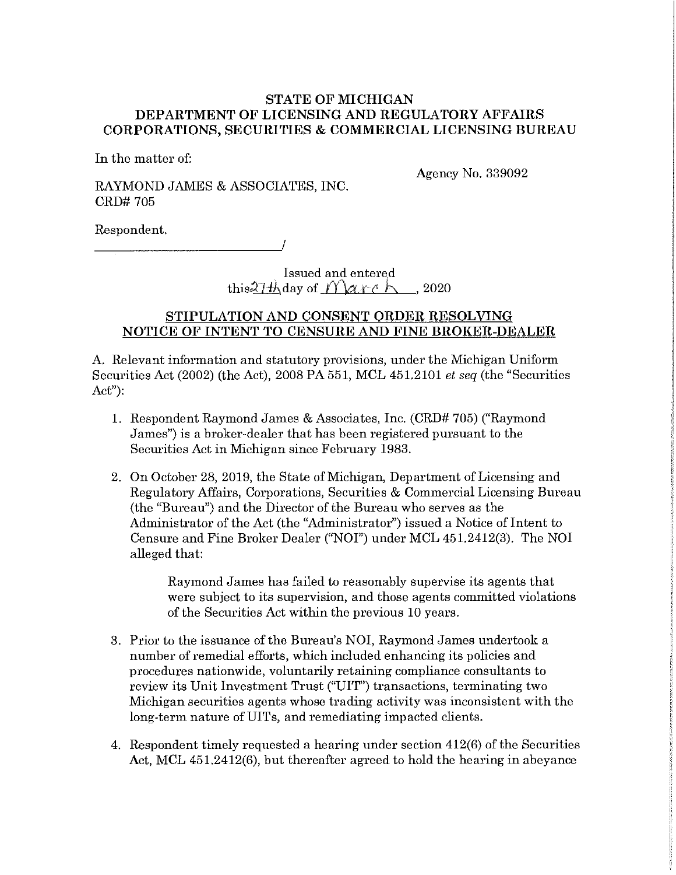## **STATE OF MICHIGAN DEPARTMENT OF LICENSING AND REGULATORY AFFAIRS CORPORATIONS, SECURITIES** & **COMMERCIAL LICENSING BUREAU**

In the matter of:

Agency No. 339092

RAYMOND JAMES & ASSOCIATES, INC. CRD# 705

Respondent.<br>——————————————————/

Issued and entered this: $7\frac{th}{\text{day of}}$  / arch , 2020

# **STIPULATION AND CONSENT ORDER RESOLVING NOTICE OF INTENT TO CENSURE AND FINE BROKER-DEALER**

A. Relevant information and statutory provisions, under the Michigan Uniform Securities Act (2002) (the Act), 2008 PA 551, MCL 451.2101 *et seq* (the "Securities Act"):

- 1. Respondent Raymond James & Associates, Inc. (CRD# 705) ("Raymond James") is a broker-dealer that has been registered pursuant to the Securities Act in Michigan since February 1983.
- 2. On October 28, 2019, the State of Michigan, Department of Licensing and Regulatory Affairs, Corporations, Securities & Commercial Licensing Bureau (the "Bureau") and the Director of the Bureau who serves as the Administrator of the Act (the "Administrator") issued a Notice of Intent to Censure and Fine Broker Dealer ("NOi") under MCL 451.2412(3). The NOi alleged that:

Raymond James has failed to reasonably supervise its agents that were subject to its supervision, and those agents committed violations of the Securities Act within the previous 10 years.

- 3. Prior to the issuance of the Bureau's NOi, Raymond James undertook a number of remedial efforts, which included enhancing its policies and procedures nationwide, voluntarily retaining compliance consultants to review its Unit Investment Trust ("UIT") transactions, terminating two Michigan securities agents whose trading activity was inconsistent with the long-term nature of UITs, and remediating impacted clients.
- 4. Respondent timely requested a hearing under section 412(6) of the Securities Act, MCL 451.2412(6), but thereafter agreed to hold the hearing in abeyance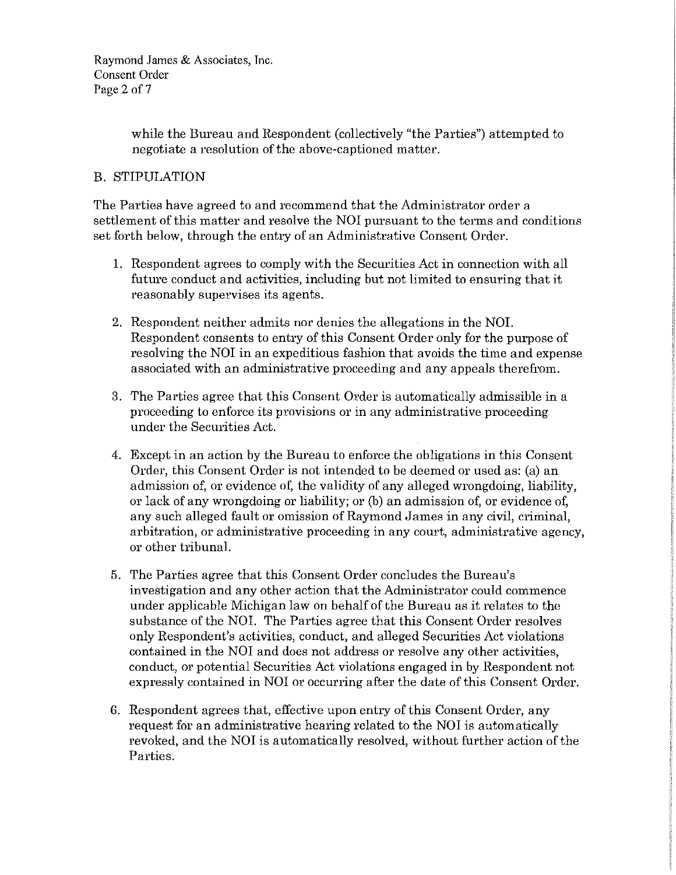Raymond James & Associates, Inc. Consent Order Page 2 of 7

> while the Bureau and Respondent (collectively "the Parties") attempted to negotiate a resolution of the above-captioned matter.

# B. STIPULATION

The Parties have agreed to and recommend that the Administrator order a settlement of this matter and resolve the NOI pursuant to the terms and conditions set forth below, through the entry of an Administrative Consent Order.

- 1. Respondent agrees to comply with the Securities Act in connection with all future conduct and activities, including but not limited to ensuring that it reasonably supervises its agents.
- 2. Respondent neither admits nor denies the allegations in the NOL Respondent consents to entry of this Consent Order only for the purpose of resolving the NOI in an expeditious fashion that avoids the time and expense associated with an administrative proceeding and any appeals therefrom.
- 3. The Parties agree that this Consent Order is automatically admissible in a proceeding to enforce its provisions or in any administrative proceeding under the Securities Act.
- 4. Except in an action by the Bureau to enforce the obligations in this Consent Order, this Consent Order is not intended to be deemed or used as: (a) an admission of, or evidence of, the validity of any alleged wrongdoing, liability, or lack of any wrongdoing or liability; or (b) an admission of, or evidence of, any such alleged fault or omission of Raymond James in any civil, criminal, arbitration, or administrative proceeding in any court, administrative agency, or other tribunal.
- 5. The Parties agree that this Consent Order concludes the Bureau's investigation and any other action that the Administrator could commence under applicable Michigan law on behalf of the Bureau as it relates to the substance of the NOL The Parties agree that this Consent Order resolves only Respondent's activities, conduct, and alleged Securities Act violations contained in the NOI and does not address or resolve any other activities, conduct, or potential Securities Act violations engaged in by Respondent not expressly contained in NOI or occurring after the date of this Consent Order.
- 6. Respondent agrees that, effective upon entry of this Consent Order, any request for an administrative hearing related to the NOI is automatically revoked, and the NOI is automatically resolved, without further action of the Parties.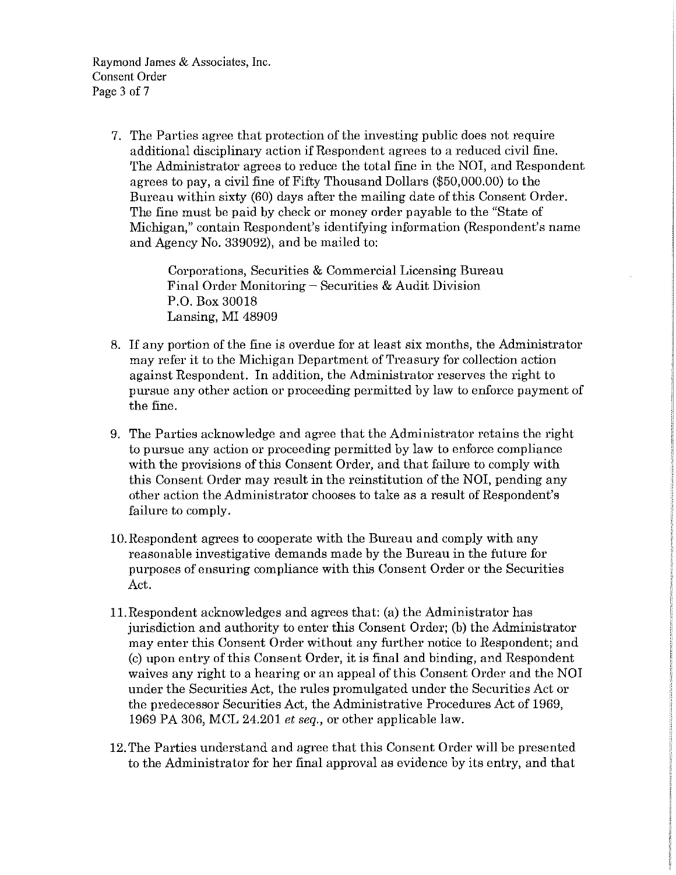Raymond James & Associates, Inc. Consent Order Page 3 of 7

> 7. The Parties agree that protection of the investing public does not require additional disciplinary action if Respondent agrees to a reduced civil fine. The Administrator agrees to reduce the total fine in the NOI, and Respondent agrees to pay, a civil fine of Fifty Thousand Dollars (\$50,000.00) to the Bureau within sixty (60) days after the mailing date of this Consent Order. The fine must be paid by check or money order payable to the "State of Michigan," contain Respondent's identifying information (Respondent's name and Agency No. 339092), and be mailed to:

> > Corporations, Securities & Commercial Licensing Bureau Final Order Monitoring  $-$  Securities & Audit Division P.O. Box 30018 Lansing, MI 48909

- 8. If any portion of the fine is overdue for at least six months, the Administrator may refer it to the Michigan Department of Treasury for collection action against Respondent. In addition, the Administrator reserves the right to pursue any other action or proceeding permitted by law to enforce payment of the fine.
- 9. The Parties acknowledge and agree that the Administrator retains the right to pursue any action or proceeding permitted by law to enforce compliance with the provisions of this Consent Order, and that failure to comply with this Consent Order may result in the reinstitution of the NOI, pending any other action the Administrator chooses to take as a result of Respondent's failure to comply.
- IO.Respondent agrees to cooperate with the Bureau and comply with any reasonable investigative demands made by the Bureau in the future for purposes of ensuring compliance with this Consent Order or the Securities Act.
- 11.Respondent acknowledges and agrees that: (a) the Administrator has jurisdiction and authority to enter this Consent Order; (b) the Administrator may enter this Consent Order without any further notice to Respondent; and (c) upon entry of this Consent Order, it is final and binding, and Respondent waives any right to a hearing or an appeal of this Consent Order and the NOI under the Securities Act, the rules promulgated under the Securities Act or the predecessor Securities Act, the Administrative Procedures Act of 1969, 1969 PA 306, MCL 24.201 *et seq.,* or other applicable law.
- 12. The Parties understand and agree that this Consent Order will be presented to the Administrator for her final approval as evidence by its entry, and that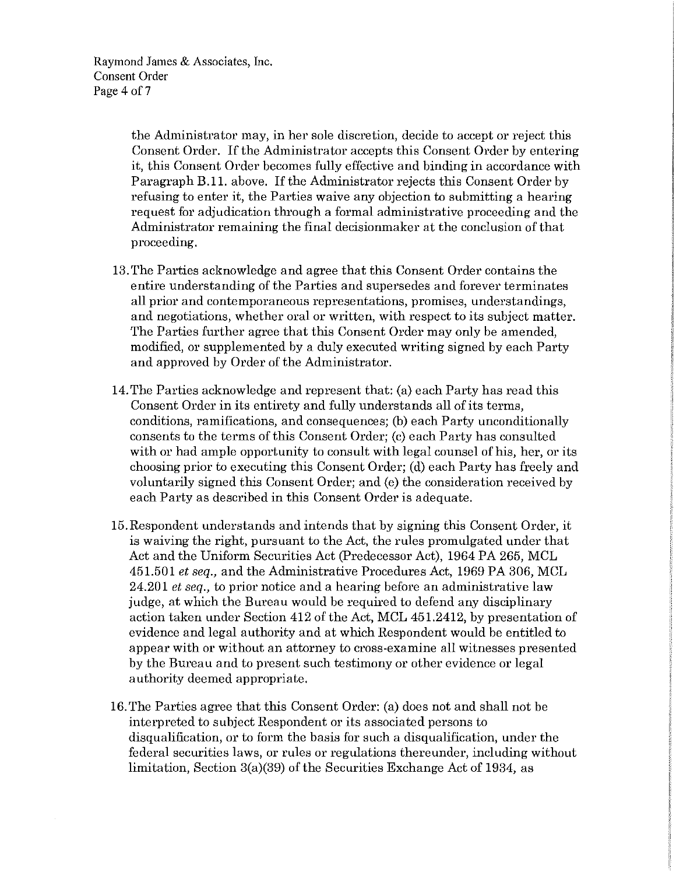Raymond James & Associates, Inc. Consent Order Page 4 of 7

> the Administrator may, in her sole discretion, decide to accept or reject this Consent Order. If the Administrator accepts this Consent Order by entering it, this Consent Order becomes fully effective and binding in accordance with Paragraph B.11. above. If the Administrator rejects this Consent Order by refusing to enter it, the Parties waive any objection to submitting a hearing request for adjudication through a formal administrative proceeding and the Administrator remaining the final decisionmaker at the conclusion of that proceeding.

- 13. The Parties acknowledge and agree that this Consent Order contains the entire understanding of the Parties and supersedes and forever terminates all prior and contemporaneous representations, promises, understandings, and negotiations, whether oral or written, with respect to its subject matter. The Parties further agree that this Consent Order may only be amended, modified, or supplemented by a duly executed writing signed by each Party and approved by Order of the Administrator.
- 14. The Parties acknowledge and represent that: (a) each Party has read this Consent Order in its entirety and fully understands all of its terms, conditions, ramifications, and consequences; (b) each Party unconditionally consents to the terms of this Consent Order; (c) each Party has consulted with or had ample opportunity to consult with legal counsel of his, her, or its choosing prior to executing this Consent Order; (d) each Party has freely and voluntarily signed this Consent Order; and (e) the consideration received by each Party as described in this Consent Order is adequate.
- 15.Respondent understands and intends that by signing this Consent Order, it is waiving the right, pursuant to the Act, the rules promulgated under that Act and the Uniform Securities Act (Predecessor Act), 1964 PA 265, MCL 451.501 *et seq.,* and the Administrative Procedures Act, 1969 PA 306, MCL 24.201 *et seq.,* to prior notice and a hearing before an administrative law judge, at which the Bureau would be required to defend any disciplinary action taken under Section 412 of the Act, MCL 451.2412, by presentation of evidence and legal authority and at which Respondent would be entitled to appear with or without an attorney to cross-examine all witnesses presented by the Bureau and to present such testimony or other evidence or legal authority deemed appropriate.
- 16. The Parties agree that this Consent Order: (a) does not and shall not be interpreted to subject Respondent or its associated persons to disqualification, or to form the basis for such a disqualification, under the federal securities laws, or rules or regulations thereunder, including without limitation, Section 3(a)(39) of the Securities Exchange Act of 1934, as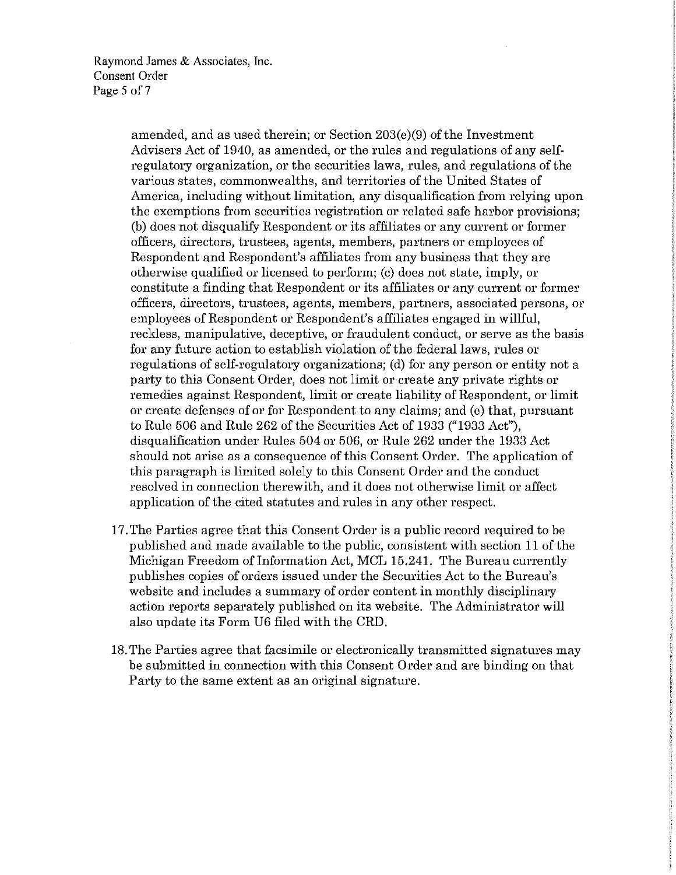Raymond James & Associates, Inc. Consent Order Page 5 of 7

> amended, and as used therein; or Section 203(e)(9) of the Investment Advisers Act of 1940, as amended, or the rules and regulations of any selfregulatory organization, or the securities laws, rules, and regulations of the various states, commonwealths, and territories of the United States of America, including without limitation, any disqualification from relying upon the exemptions from securities registration or related safe harbor provisions; (b) does not disqualify Respondent or its affiliates or any current or former officers, directors, trustees, agents, members, partners or employees of Respondent and Respondent's affiliates from any business that they are otherwise qualified or licensed to perform; (c) does not state, imply, or constitute a finding that Respondent or its affiliates or any current or former officers, directors, trustees, agents, members, partners, associated persons, or employees of Respondent or Respondent's affiliates engaged in willful, reckless, manipulative, deceptive, or fraudulent conduct, or serve as the basis for any future action to establish violation of the federal laws, rules or regulations of self-regulatory organizations; (d) for any person or entity not a party to this Consent Order, does not limit or create any private rights or remedies against Respondent, limit or create liability of Respondent, or limit or create defenses of or for Respondent to any claims; and (e) that, pursuant to Rule 506 and Rule 262 of the Securities Act of 1933 ("1933 Act"), disqualification under Rules 504 or 506, or Rule 262 under the 1933 Act should not arise as a consequence of this Consent Order. The application of this paragraph is limited solely to this Consent Order and the conduct resolved in connection therewith, and it does not otherwise limit or affect application of the cited statutes and rules in any other respect.

- 17. The Parties agree that this Consent Order is a public record required to be published and made available to the public, consistent with section 11 of the Michigan Freedom oflnformation Act, MCL 15.241. The Bureau currently publishes copies of orders issued under the Securities Act to the Bureau's website and includes a summary of order content in monthly disciplinary action reports separately published on its website. The Administrator will also update its Form U6 filed with the CRD.
- 18. The Parties agree that facsimile or electronically transmitted signatures may be submitted in connection with this Consent Order and are binding on that Party to the same extent as an original signature.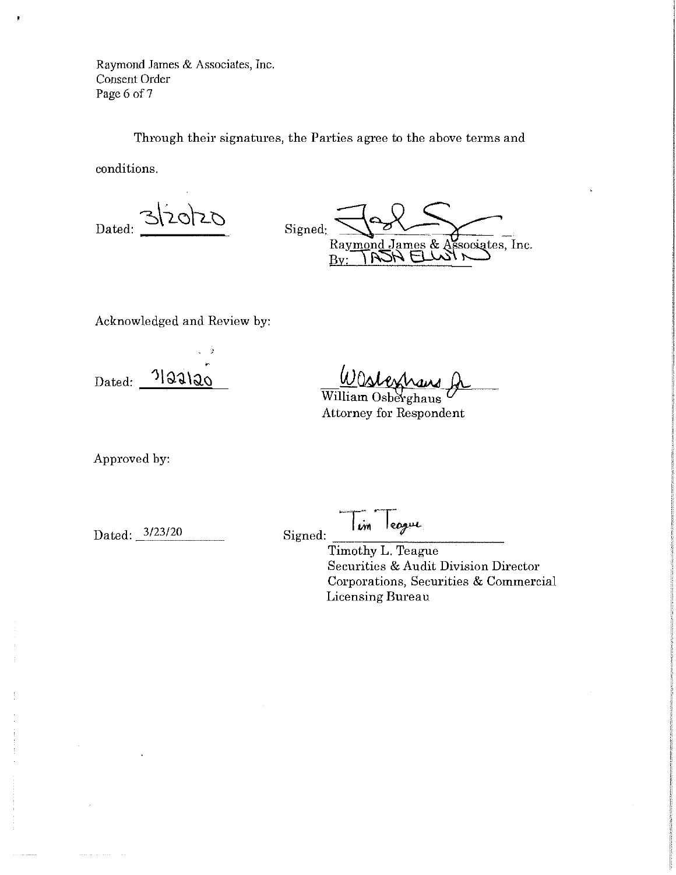Raymond James & Associates, Inc. Consent Order Page 6 of 7

 $\pmb{\mathbb{R}}$ 

Through their signatures, the Parties agree to the above terms and conditions.

3/20/20 Dated:

Signed:<br>Raymond James & Associates, Inc.

Acknowledged and Review by:

r  $_{\rm Dated:}$   $^{11}$ IJ)  $_{20}$ 

<u>WUshershand</u>

Attorney for Respondent

Approved by:

Dated: 3/23/20

Signed:  $\lim$  league

> Timothy L. Teague Securities & Audit Division Director Corporations, Securities & Commercial Licensing Bureau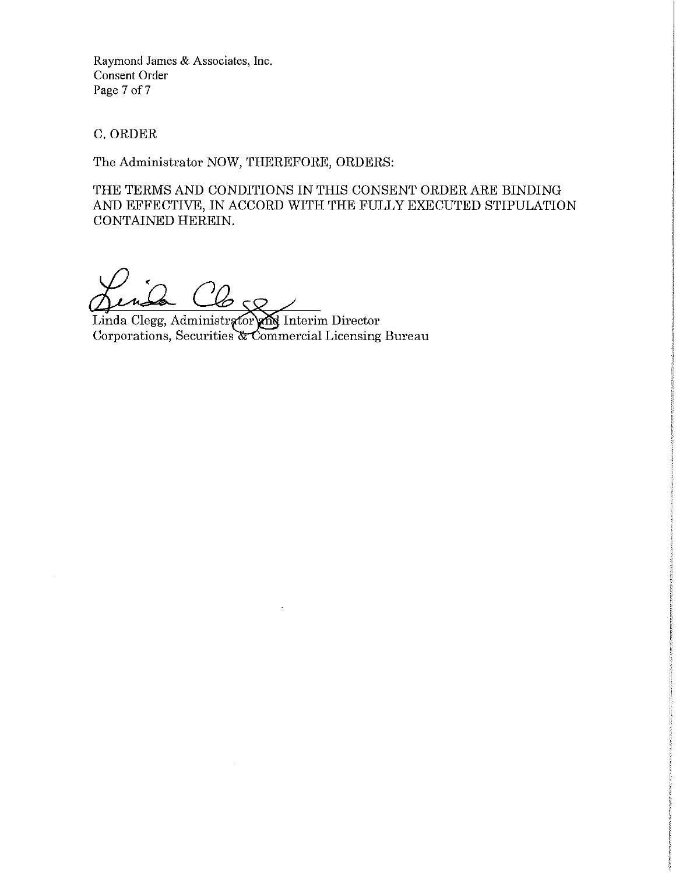Raymond James & Associates, Inc. Consent Order Page 7 of 7

C. ORDER

The Administrator NOW, THEREFORE, ORDERS:

THE TERMS AND CONDITIONS IN THIS CONSENT ORDER ARE BINDING AND EFFECTIVE, IN ACCORD WITH THE FULLY EXECUTED STIPULATION CONTAINED HEREIN.

 $\varphi \varsigma_{\mathcal{Q}}$ 

Linda Clegg, Administr Corporations, Securities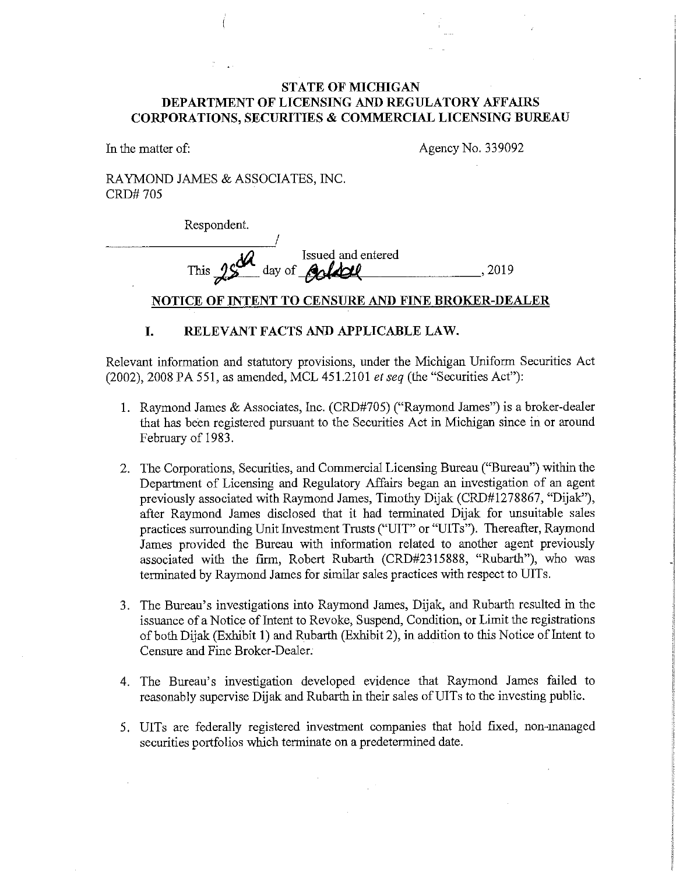### **STATE OF MICHIGAN DEPARTMENT OF LICENSING AND REGULATORY AFFAIRS CORPORATIONS, SECURITIES & COMMERCIAL LICENSING BUREAU**

In the matter of:

Agency No. 339092

RAYMOND JAMES & ASSOCIATES, INC. CRD#705

Respondent.

I  $\overline{\mathcal{U}}$  Issued and entered This  $25$  day of  $-60$  del

#### **NOTICE OF INTENT TO CENSURE AND FINE BROKER-DEALER**

### **I. RELEVANT FACTS AND APPLICABLE LAW.**

Relevant information and statutory provisions, under the Michigan Uniform Securities Act (2002), 2008 PA 551, as amended, MCL 451.2101 *et seq* (the "Securities Act"):

- **1.** Raymond James & Associates, Inc. (CRD#705) ("Raymond James") is a broker-dealer that has been registered pursuant to the Securities Act in Michigan since in or around February of 1983.
- 2. The Corporations, Securities, and Commercial Licensing Bureau ("Bureau") within the Department of Licensing and Regulatory Affairs began an investigation of an agent previously associated with Raymond James, Timothy Dijak (CRD#l278867, "Dijak"), after Raymond James disclosed that it had terminated Dijak for unsuitable sales practices surrounding Unit Investment Trusts ("UIT" or "UITs"). Thereafter, Raymond James provided the Bureau with information related to another agent previously associated with the firm, Robert Rubarth (CRD#2315888, "Rubarth"), who was terminated by Raymond James for similar sales practices with respect to UITs.
- 3. The Bureau's investigations into Raymond James, Dijak, and Rubarth resulted in the issuance of a Notice of Intent to Revoke, Suspend, Condition, or Limit the registrations of both Dijak (Exhibit **1)** and Rubarth (Exhibit 2), in addition to this Notice of Intent to Censure and Fine Broker-Dealer.
- 4. The Bureau's investigation developed evidence that Raymond James failed to reasonably supervise Dijak and Rubarth in their sales of UITs to the investing public.
- 5. UITs are federally registered investment companies that hold fixed, non-managed securities portfolios which terminate on a predetermined date.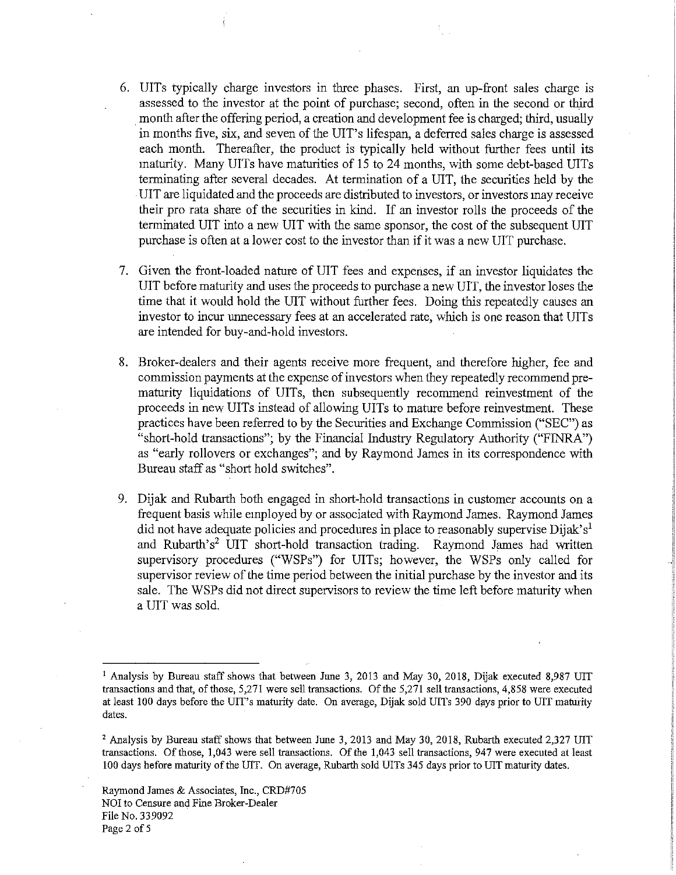- 6. UITs typically charge investors in three phases. First, an up-front sales charge is assessed to the investor at the point of purchase; second, often in the second or third month after the offering period, a creation and development fee is charged; third, usually in months five, six, and seven of the UIT's lifespan, a deferred sales charge is assessed each month. Thereafter, the product is typically held without further fees until its maturity. Many UITs have maturities of 15 to 24 months, with some debt-based UITs terminating after several decades. At termination of a UIT, the securities held by the . UIT are liquidated and the proceeds are distributed to investors, or investors may receive their pro rata share of the securities in kind. If an investor rolls the proceeds of the terminated UIT into a new UIT with the same sponsor, the cost of the subsequent UIT purchase is often at a lower cost to the investor than if it was a new UIT purchase.
- 7. Given the front-loaded nature of UIT fees and expenses, if an investor liquidates the UIT before maturity and uses the proceeds to purchase a new UIT, the investor loses the time that it would hold the UIT without further fees. Doing this repeatedly causes an investor to incur unnecessary fees at an accelerated rate, which is one reason that UITs are intended for buy-and-hold investors.
- 8. Broker-dealers and their agents receive more frequent, and therefore higher, fee and commission payments at the expense of investors when they repeatedly recommend prematurity liquidations of UITs, then subsequently recommend reinvestment of the proceeds in new UITs instead of allowing UITs to mature before reinvestment. These practices have been referred to by the Securities and Exchange Commission ("SEC") as "short-hold transactions"; by the Financial Industry Regulatory Authority ("FINRA") as "early rollovers or exchanges"; and by Raymond James in its correspondence with Bureau staff as "short hold switches".
- 9. Dijak and Rubarth both engaged in short-hold transactions in customer accounts on a frequent basis while employed by or associated with Raymond James. Raymond James did not have adequate policies and procedures in place to reasonably supervise Dijak's<sup>1</sup> and Rubarth's<sup>2</sup> UIT short-hold transaction trading. Raymond James had written supervisory procedures ("WSPs") for UITs; however, the WSPs only called for supervisor review of the time period between the initial purchase by the investor and its sale. The WSPs did not direct supervisors to review the time left before maturity when a UIT was sold.

<sup>1</sup> Analysis by Bureau staff shows that between June 3, 2013 and May 30, 2018, Dijak executed 8,987 UIT **transactions and that, of those, 5,271 were sell transactions. Of the 5,271 sell transactions, 4,858 were executed**  at least 100 days before the UIT's maturity date. On average, Dijak sold UITs 390 days prior to UIT maturity dates.

<sup>&</sup>lt;sup>2</sup> Analysis by Bureau staff shows that between June 3, 2013 and May 30, 2018, Rubarth executed 2,327 UIT transactions. Of those, 1,043 were sell transactions. Of the 1,043 sell transactions, 947 were executed at least 100 days before maturity of the UIT. On average, Rubarth sold UITs 345 days prior to UIT maturity dates.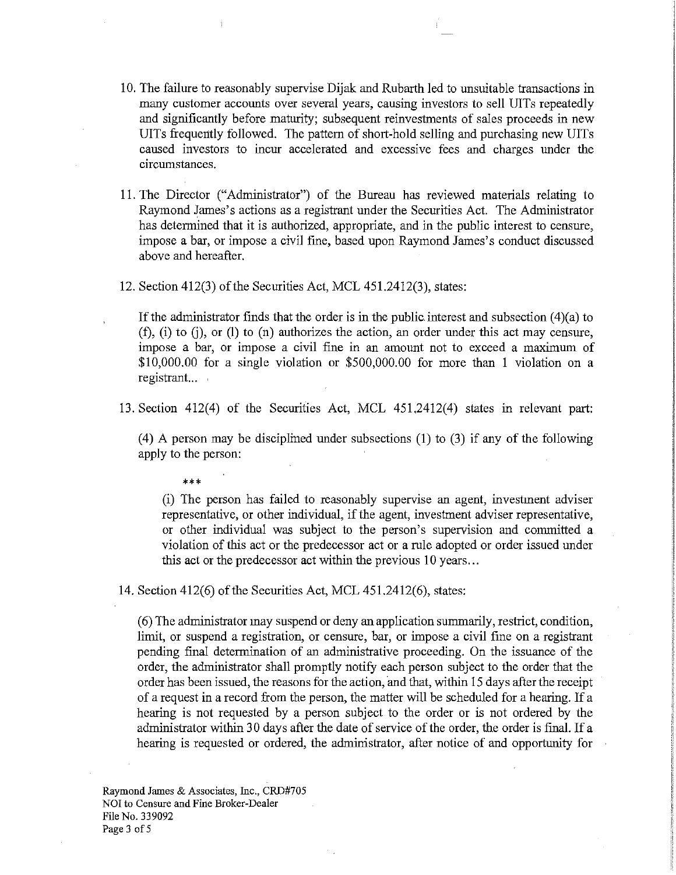- 10. The failure to reasonably supervise Dijak and Rubarth led to unsuitable transactions in many customer accounts over several years, causing investors to sell UITs repeatedly and significantly before maturity; subsequent reinvestments of sales proceeds in new UITs frequently followed. The pattern of short-hold selling and purchasing new UITs caused investors to incur accelerated and excessive fees and charges under the circumstances.
- 11. The Director ("Administrator") of the Bureau has reviewed materials relating to Raymond James's actions as a registrant under the Securities Act. The Administrator has determined that it is authorized, appropriate, and in the public interest to censure, impose a bar, or impose a civil fine, based upon Raymond James's conduct discussed above and hereafter.
- 12. Section 412(3) of the Securities Act, MCL 451.2412(3), states:

If the administrator finds that the order is in the public.interest and subsection (4)(a) to  $(f)$ ,  $(i)$  to  $(i)$ , or  $(l)$  to  $(n)$  authorizes the action, an order under this act may censure, impose a bar, or impose a civil fine in an amount not to exceed a maximum of \$10,000.00 for a single violation or \$500,000.00 for more than 1 violation on a registrant...

13. Section 412(4) of the Securities Act, MCL 451.2412(4) states in relevant part:

(4) A person may be disciplined under subsections (1) to (3) if any of the following apply to the person:

\*\*\*

(i) The person has failed to reasonably supervise an agent, investment adviser representative, or other individual, if the agent, investment adviser representative, or other individual was subject to the person's supervision and committed a violation of this act or the predecessor act or a rule adopted or order issued under this act or the predecessor act within the previous 10 years ...

14. Section 412(6) of the Securities Act, MCL 451.2412(6), states:

( 6) The administrator may suspend or deny an application sunnnarily, restrict, condition, limit, or suspend a registration, or censure, bar, or impose a civil fine on a registrant pending fmal determination of an administrative proceeding. On the issuance of the order, the administrator shall promptly notify each person subject to the order that the order has been issued, the reasons for the action, and that, within 15 days after the receipt of a request in a record from the person, the matter will be scheduled for a hearing. If <sup>a</sup> hearing is not requested by a person subject to the order or is not ordered by the administrator within 30 days after the date of service of the order, the order is final. If a hearing is requested or ordered, the administrator, after notice of and opportunity for

Raymond James & Associates, Inc., CRD#705 NO! to Censure and Fine Broker-Dealer File No. 339092 Page 3 of 5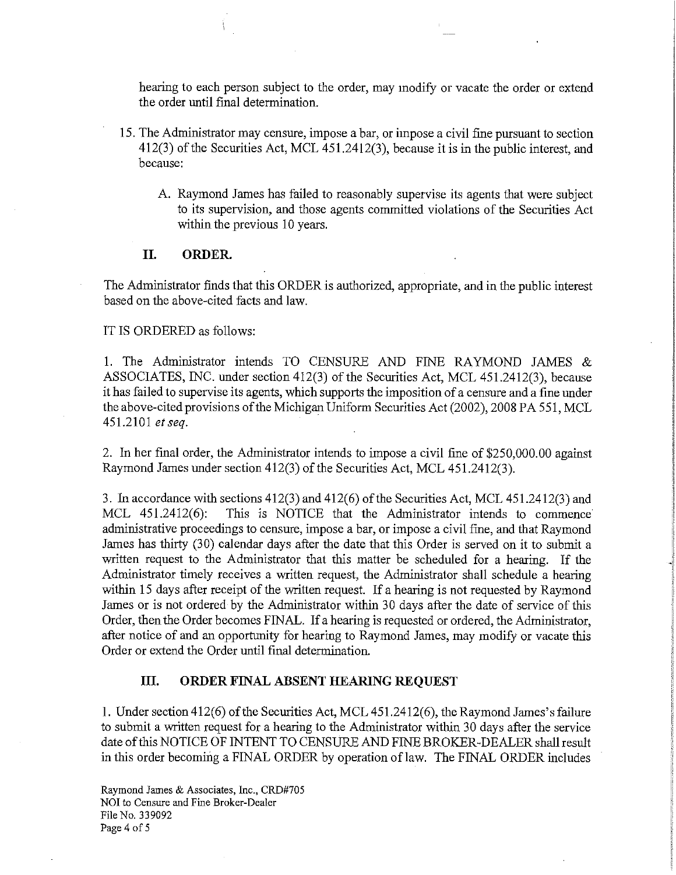hearing to each person subject to the order, may modify or vacate the order or extend the order until final determination.

- 15. The Administrator may censure, impose a bar, or impose a civil fme pursuant to section 412(3) of the Securities Act, MCL 451.2412(3), because it is in the public interest, and because:
	- A. Raymond James has failed to reasonably supervise its agents that were subject to its supervision, and those agents committed violations of the Securities Act within the previous 10 years.

#### **II. ORDER.**

The Administrator finds that this ORDER is authorized, appropriate, and in the public interest based on the above-cited facts and law.

IT IS ORDERED as follows:

1. The Administrator intends TO CENSURE AND FINE RAYMOND JAMES & ASSOCIATES, INC. under section 412(3) of the Securities Act, MCL 451.2412(3), because it has failed to supervise its agents, which supports the imposition of a censure and a fine under the above-cited provisions of the Michigan Uniform Securities Act (2002), 2008 PA 551, MCL 451.2101 *et seq.* 

2. In her final order, the Administrator intends to impose a civil fine of \$250,000.00 against Raymond James under section 412(3) of the Securities Act, MCL 451.2412(3).

3. In accordance with sections 412(3) and 412(6) of the Securities Act, MCL 451.2412(3) and MCL 451.2412(6): This is NOTICE that the Administrator intends to commence administrative proceedings to censure, impose a bar, or impose a civil fine, and that Raymond James has thirty (30) calendar days after the date that this Order is served on it to submit a written request to the Administrator that this matter be scheduled for a hearing. If the Administrator timely receives a written request, the Administrator shall schedule a hearing within 15 days after receipt of the written request. If a hearing is not requested by Raymond James or is not ordered by the Administrator within 30 days after the date of service of this Order, then the Order becomes FINAL. If a hearing is requested or ordered, the Administrator, after notice of and an opportunity for hearing to Raymond James, may modify or vacate this Order or extend the Order until final determination.

#### **III. ORDER FINAL ABSENT HEARING REQUEST**

I. Under section 412(6) of the Securities Act, MCL 451.2412(6), the Raymond James's failure to submit a written request for a hearing to the Administrator within 30 days after the service date of this NOTICE OF INTENT TO CENSURE AND FINE BROKER-DEALER shall result in this order becoming a FINAL ORDER by operation of law. The FINAL ORDER includes

Raymond James & Associates, Inc., CRD#705 NOI to Censure and Fine Broker-Dealer File No. 339092 Page 4 of 5